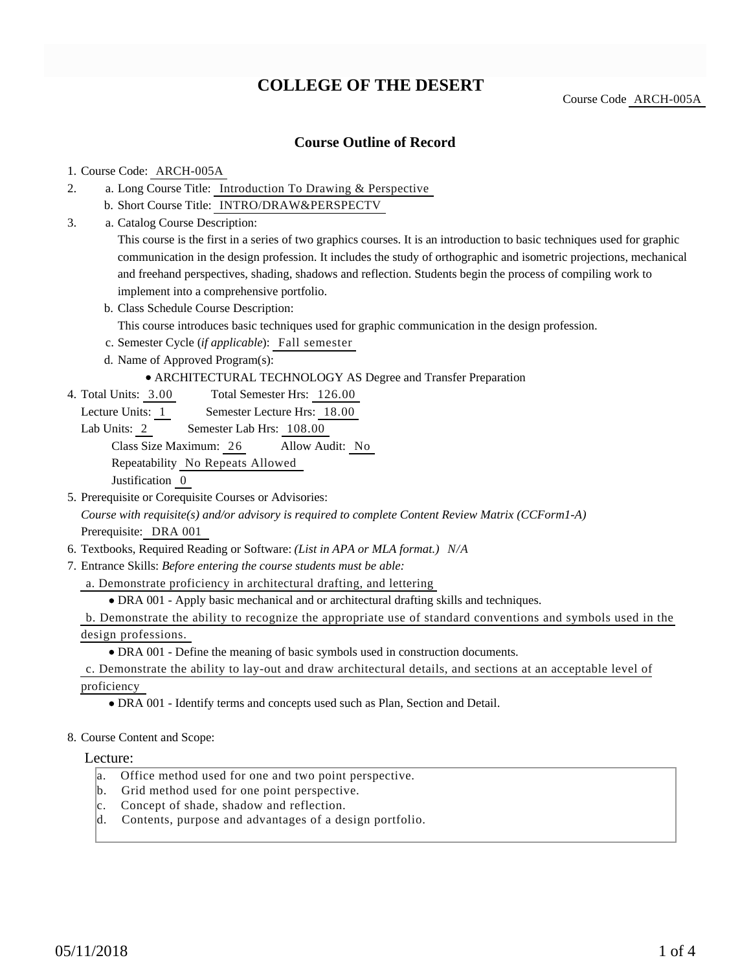# **COLLEGE OF THE DESERT**

Course Code ARCH-005A

### **Course Outline of Record**

#### 1. Course Code: ARCH-005A

- a. Long Course Title: Introduction To Drawing & Perspective 2.
	- b. Short Course Title: INTRO/DRAW&PERSPECTV
- Catalog Course Description: a. 3.

This course is the first in a series of two graphics courses. It is an introduction to basic techniques used for graphic communication in the design profession. It includes the study of orthographic and isometric projections, mechanical and freehand perspectives, shading, shadows and reflection. Students begin the process of compiling work to implement into a comprehensive portfolio.

b. Class Schedule Course Description:

This course introduces basic techniques used for graphic communication in the design profession.

- c. Semester Cycle (*if applicable*): Fall semester
- d. Name of Approved Program(s):

#### ARCHITECTURAL TECHNOLOGY AS Degree and Transfer Preparation

- Total Semester Hrs: 126.00 4. Total Units: 3.00
	- Lecture Units: 1 Semester Lecture Hrs: 18.00
	- Lab Units: 2 Semester Lab Hrs: 108.00

Class Size Maximum: 26 Allow Audit: No

Repeatability No Repeats Allowed

Justification 0

5. Prerequisite or Corequisite Courses or Advisories: *Course with requisite(s) and/or advisory is required to complete Content Review Matrix (CCForm1-A)*

Prerequisite: DRA 001

- 6. Textbooks, Required Reading or Software: *(List in APA or MLA format.) N/A*
- Entrance Skills: *Before entering the course students must be able:* 7.

a. Demonstrate proficiency in architectural drafting, and lettering

DRA 001 - Apply basic mechanical and or architectural drafting skills and techniques.

b. Demonstrate the ability to recognize the appropriate use of standard conventions and symbols used in the design professions.

DRA 001 - Define the meaning of basic symbols used in construction documents.

c. Demonstrate the ability to lay-out and draw architectural details, and sections at an acceptable level of

proficiency

- DRA 001 Identify terms and concepts used such as Plan, Section and Detail.
- 8. Course Content and Scope:

#### Lecture:

- a. Office method used for one and two point perspective.
- b. Grid method used for one point perspective.
- c. Concept of shade, shadow and reflection.
- d. Contents, purpose and advantages of a design portfolio.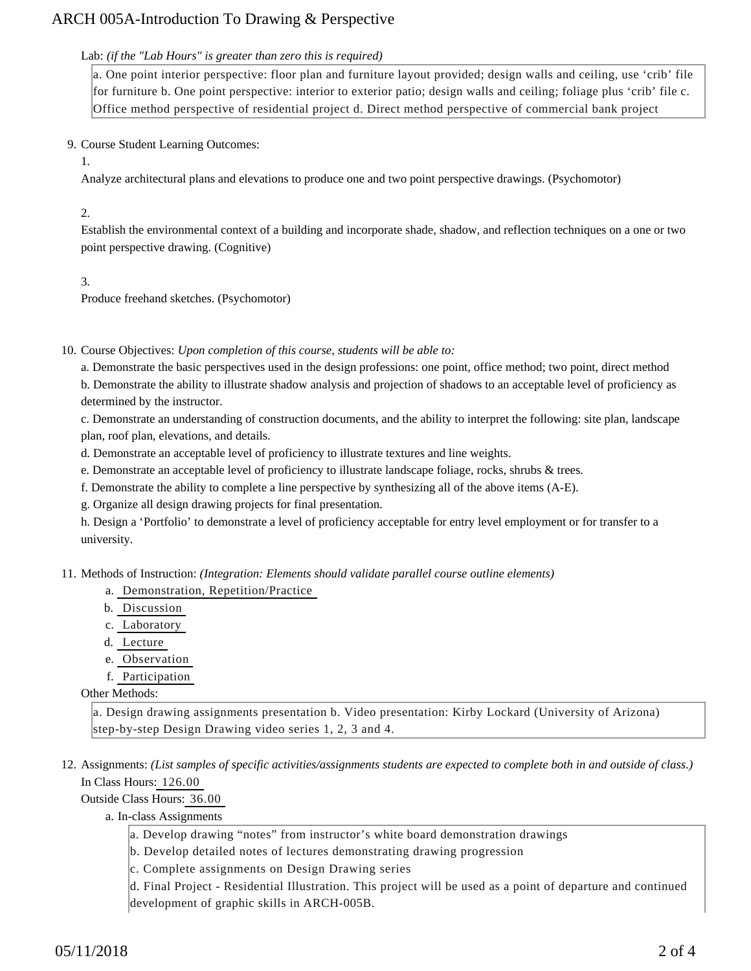## ARCH 005A-Introduction To Drawing & Perspective

#### Lab: *(if the "Lab Hours" is greater than zero this is required)*

a. One point interior perspective: floor plan and furniture layout provided; design walls and ceiling, use 'crib' file for furniture b. One point perspective: interior to exterior patio; design walls and ceiling; foliage plus 'crib' file c. Office method perspective of residential project d. Direct method perspective of commercial bank project

#### 9. Course Student Learning Outcomes:

1.

Analyze architectural plans and elevations to produce one and two point perspective drawings. (Psychomotor)

#### 2.

Establish the environmental context of a building and incorporate shade, shadow, and reflection techniques on a one or two point perspective drawing. (Cognitive)

3.

Produce freehand sketches. (Psychomotor)

10. Course Objectives: Upon completion of this course, students will be able to:

a. Demonstrate the basic perspectives used in the design professions: one point, office method; two point, direct method b. Demonstrate the ability to illustrate shadow analysis and projection of shadows to an acceptable level of proficiency as determined by the instructor.

c. Demonstrate an understanding of construction documents, and the ability to interpret the following: site plan, landscape plan, roof plan, elevations, and details.

d. Demonstrate an acceptable level of proficiency to illustrate textures and line weights.

e. Demonstrate an acceptable level of proficiency to illustrate landscape foliage, rocks, shrubs & trees.

f. Demonstrate the ability to complete a line perspective by synthesizing all of the above items (A-E).

g. Organize all design drawing projects for final presentation.

h. Design a 'Portfolio' to demonstrate a level of proficiency acceptable for entry level employment or for transfer to a university.

11. Methods of Instruction: *(Integration: Elements should validate parallel course outline elements)* 

- a. Demonstration, Repetition/Practice
- b. Discussion
- c. Laboratory
- d. Lecture
- e. Observation
- f. Participation

Other Methods:

a. Design drawing assignments presentation b. Video presentation: Kirby Lockard (University of Arizona) step-by-step Design Drawing video series 1, 2, 3 and 4.

12. Assignments: (List samples of specific activities/assignments students are expected to complete both in and outside of class.) In Class Hours: 126.00

Outside Class Hours: 36.00

a. In-class Assignments

a. Develop drawing "notes" from instructor's white board demonstration drawings

b. Develop detailed notes of lectures demonstrating drawing progression

c. Complete assignments on Design Drawing series

d. Final Project - Residential Illustration. This project will be used as a point of departure and continued development of graphic skills in ARCH-005B.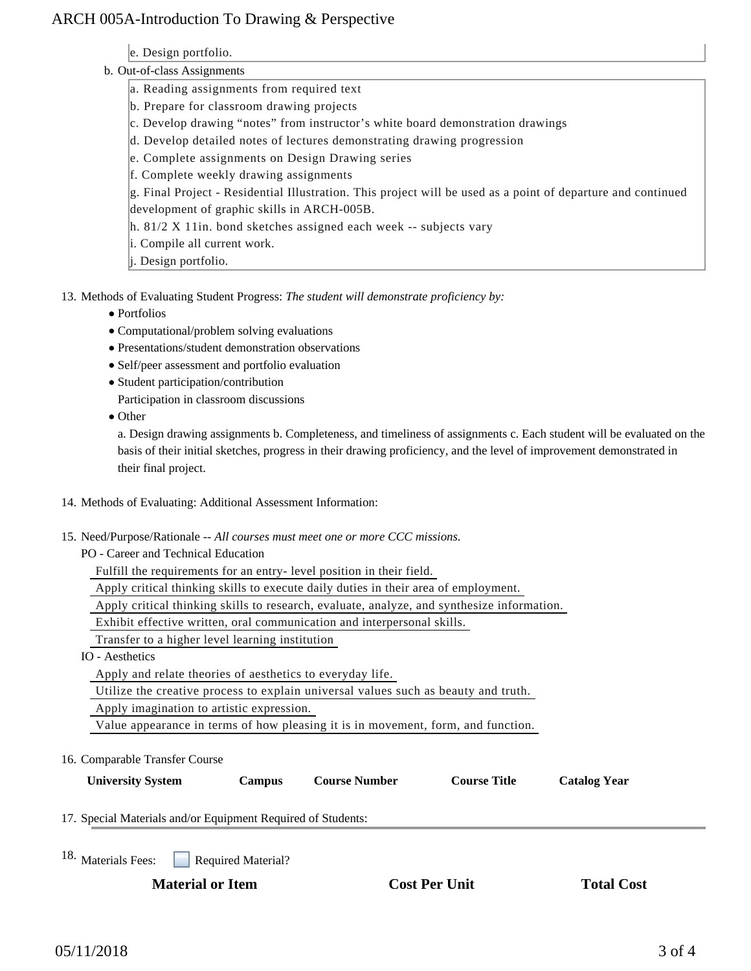## ARCH 005A-Introduction To Drawing & Perspective

| e. Design portfolio. |  |
|----------------------|--|
|                      |  |
|                      |  |
|                      |  |

b.

| Out-of-class Assignments                                                                                     |
|--------------------------------------------------------------------------------------------------------------|
| a. Reading assignments from required text                                                                    |
| b. Prepare for classroom drawing projects                                                                    |
| c. Develop drawing "notes" from instructor's white board demonstration drawings                              |
| d. Develop detailed notes of lectures demonstrating drawing progression                                      |
| e. Complete assignments on Design Drawing series                                                             |
| f. Complete weekly drawing assignments                                                                       |
| g. Final Project - Residential Illustration. This project will be used as a point of departure and continued |
| development of graphic skills in ARCH-005B.                                                                  |
| $\vert h. 81/2 X 11$ in. bond sketches assigned each week -- subjects vary                                   |
| i. Compile all current work.                                                                                 |
| j. Design portfolio.                                                                                         |
|                                                                                                              |

13. Methods of Evaluating Student Progress: The student will demonstrate proficiency by:

- Portfolios
- Computational/problem solving evaluations
- Presentations/student demonstration observations
- Self/peer assessment and portfolio evaluation
- Student participation/contribution
- Participation in classroom discussions
- Other

a. Design drawing assignments b. Completeness, and timeliness of assignments c. Each student will be evaluated on the basis of their initial sketches, progress in their drawing proficiency, and the level of improvement demonstrated in their final project.

#### 14. Methods of Evaluating: Additional Assessment Information:

- 15. Need/Purpose/Rationale -- All courses must meet one or more CCC missions.
	- PO Career and Technical Education

Fulfill the requirements for an entry- level position in their field.

Apply critical thinking skills to execute daily duties in their area of employment.

Apply critical thinking skills to research, evaluate, analyze, and synthesize information.

Exhibit effective written, oral communication and interpersonal skills.

Transfer to a higher level learning institution

IO - Aesthetics

Apply and relate theories of aesthetics to everyday life.

Utilize the creative process to explain universal values such as beauty and truth.

Apply imagination to artistic expression.

Value appearance in terms of how pleasing it is in movement, form, and function.

16. Comparable Transfer Course

| <b>University System</b> | Campus | <b>Course Number</b> | <b>Course Title</b> | <b>Catalog Year</b> |
|--------------------------|--------|----------------------|---------------------|---------------------|
|--------------------------|--------|----------------------|---------------------|---------------------|

17. Special Materials and/or Equipment Required of Students:

Required Material? 18. Materials Fees:

**Material or Item Cost Per Unit Total Cost Per Unit Total Cost Per Unit Cost Per Unit Cost Per Unit Cost Per Unit Cost Per Unit Cost Per Unit Cost Per Unit Cost Per Unit Cost Per Unit Cost Per Unit Cost Per Unit Cost Per U**